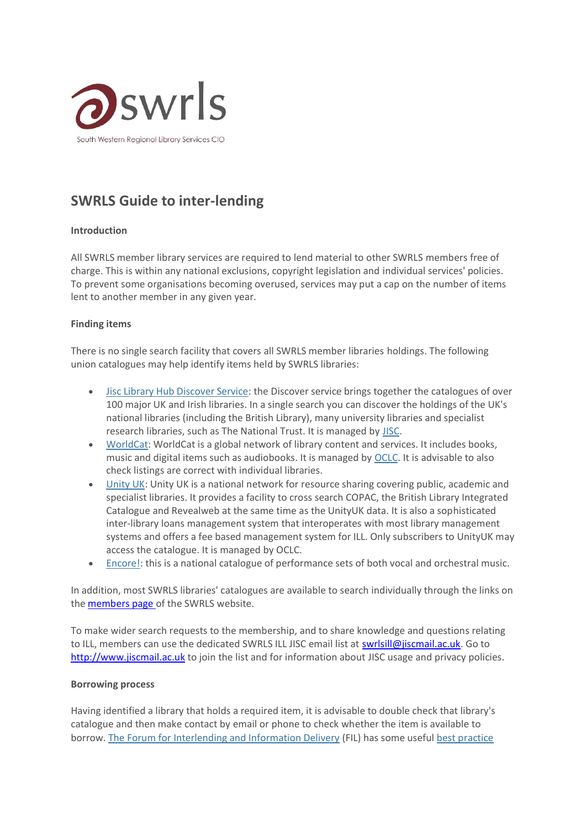

# **SWRLS Guide to inter-lending**

## **Introduction**

All SWRLS member library services are required to lend material to other SWRLS members free of charge. This is within any national exclusions, copyright legislation and individual services' policies. To prevent some organisations becoming overused, services may put a cap on the number of items lent to another member in any given year.

#### **Finding items**

There is no single search facility that covers all SWRLS member libraries holdings. The following union catalogues may help identify items held by SWRLS libraries:

- [Jisc Library Hub Discover Service:](https://discover.libraryhub.jisc.ac.uk/) the Discover service brings together the catalogues of over 100 major UK and Irish libraries. In a single search you can discover the holdings of the UK's national libraries (including the British Library), many university libraries and specialist research libraries, such as The National Trust. It is managed by [JISC.](https://www.jisc.ac.uk/)
- [WorldCat:](https://www.worldcat.org/) WorldCat is a global network of library content and services. It includes books, music and digital items such as audiobooks. It is managed by [OCLC.](https://www.oclc.org/en/home.html) It is advisable to also check listings are correct with individual libraries.
- [Unity UK:](https://www.oclc.org/en/unityuk.html) Unity UK is a national network for resource sharing covering public, academic and specialist libraries. It provides a facility to cross search COPAC, the British Library Integrated Catalogue and Revealweb at the same time as the UnityUK data. It is also a sophisticated inter-library loans management system that interoperates with most library management systems and offers a fee based management system for ILL. Only subscribers to UnityUK may access the catalogue. It is managed by OCLC.
- [Encore!:](https://iaml-uk-irl.org/encore) this is a national catalogue of performance sets of both vocal and orchestral music.

In addition, most SWRLS libraries' catalogues are available to search individually through the links on the [members page](https://www.swrls.org.uk/our-members) of the SWRLS website.

To make wider search requests to the membership, and to share knowledge and questions relating to ILL, members can use the dedicated SWRLS ILL JISC email list at [swrlsill@jiscmail.ac.uk.](mailto:swrlsill@jiscmail.ac.uk) Go to [http://www.jiscmail.ac.uk](http://www.jiscmail.ac.uk/) to join the list and for information about JISC usage and privacy policies.

#### **Borrowing process**

Having identified a library that holds a required item, it is advisable to double check that library's catalogue and then make contact by email or phone to check whether the item is available to borrow. [The Forum for Interlending and Information Delivery](http://www.forumforinterlending.org.uk/) (FIL) has some useful [best practice](http://www.forumforinterlending.org.uk/best-practice-guidelines)